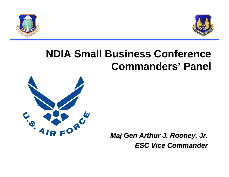



## **NDIA Small Business Conference Commanders' Panel**



*Maj Gen Arthur J. Rooney, Jr. Maj Gen Arthur J. Rooney, Jr. ESC Vice Commander ESC Vice Commander*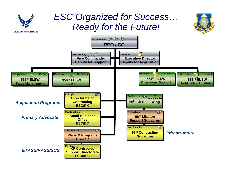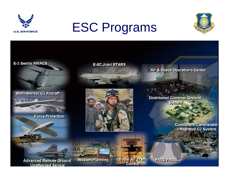

# ESC Programs



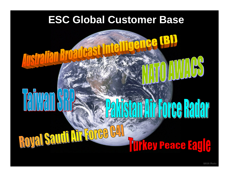## **ESC Global Customer Base**

**N** 

### THE ROYEL SEL **Tifkey Peace Eag R**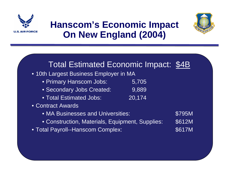



## **Hanscom's Economic Impact On New England (2004)**

| <b>Total Estimated Economic Impact: \$4B</b>    |        |        |
|-------------------------------------------------|--------|--------|
| • 10th Largest Business Employer in MA          |        |        |
| • Primary Hanscom Jobs:                         | 5,705  |        |
| · Secondary Jobs Created:                       | 9,889  |        |
| • Total Estimated Jobs:                         | 20,174 |        |
| • Contract Awards                               |        |        |
| • MA Businesses and Universities:               |        | \$795M |
| • Construction, Materials, Equipment, Supplies: |        | \$612M |
| • Total Payroll--Hanscom Complex:               |        | \$617M |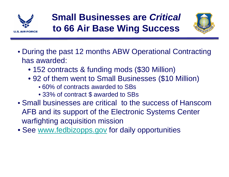

## **Small Businesses are** *Critical* **to 66 Air Base Wing Success**



- During the past 12 months ABW Operational Contracting has awarded:
	- 152 contracts & funding mods (\$30 Million)
	- 92 of them went to Small Businesses (\$10 Million)
		- 60% of contracts awarded to SBs
		- 33% of contract \$ awarded to SBs
- Small businesses are critical to the success of HanscomAFB and its support of the Electronic Systems Center warfighting acquisition mission
- See www.fedbizopps.gov for daily opportunities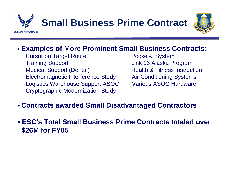



#### • **Examples of More Prominent Small Business Contracts:**

**Cursor on Target Router Cursor Pocket-J System** Training Support **Link 16 Alaska Program** Medical Support (Dental) Health & Fitness Instruction Electromagnetic Interference Study Air Conditioning Systems Logistics Warehouse Support ASOC Various ASOC Hardware Cryptographic Modernization Study

- **Contracts awarded Small Disadvantaged Contractors**
- **ESC's Total Small Business Prime Contracts totaled over \$26M for FY05**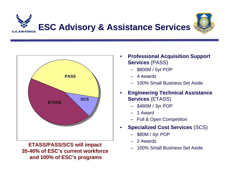



**ETASS/PASS/SCS will impact 35-40% of ESC's current workforceand 100% of ESC's programs**

- **Professional Acquisition Support Services** (PASS) •
	- provide systems acquisition \$800M / 5yr POP
	- $-4$  Awards –
	- 100% Small Business Set Aside –
- Development **Engineering Technical Assistance •**  Test •**Services** (ETASS)
	- –\$480M / 3yr POP
	- For 1 Award
	- $\overline{\phantom{a}}$   $\overline{\phantom{a}}$   $\overline{\phantom{a}}$   $\overline{\phantom{a}}$   $\overline{\phantom{a}}$   $\overline{\phantom{a}}$   $\overline{\phantom{a}}$   $\overline{\phantom{a}}$   $\overline{\phantom{a}}$   $\overline{\phantom{a}}$   $\overline{\phantom{a}}$   $\overline{\phantom{a}}$   $\overline{\phantom{a}}$   $\overline{\phantom{a}}$   $\overline{\phantom{a}}$   $\overline{\phantom{a}}$   $\overline{\phantom{a}}$   $\overline{\phantom{a}}$   $\overline{\$ – Full & Open Competition
- **Specialized Cost Services (SCS)** •
	- \$80M / 4yr POP –
	- 2 Awards –
	- 100% Small Business Set Aside –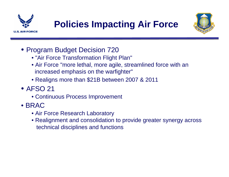![](_page_8_Picture_0.jpeg)

![](_page_8_Picture_2.jpeg)

- Program Budget Decision 720
	- "Air Force Transformation Flight Plan"
	- Air Force "more lethal, more agile, streamlined force with an increased emphasis on the warfighter"
	- Realigns more than \$21B between 2007 & 2011
- AFSO 21
	- Continuous Process Improvement
- BRAC
	- Air Force Research Laboratory
	- Realignment and consolidation to provide greater synergy across technical disciplines and functions